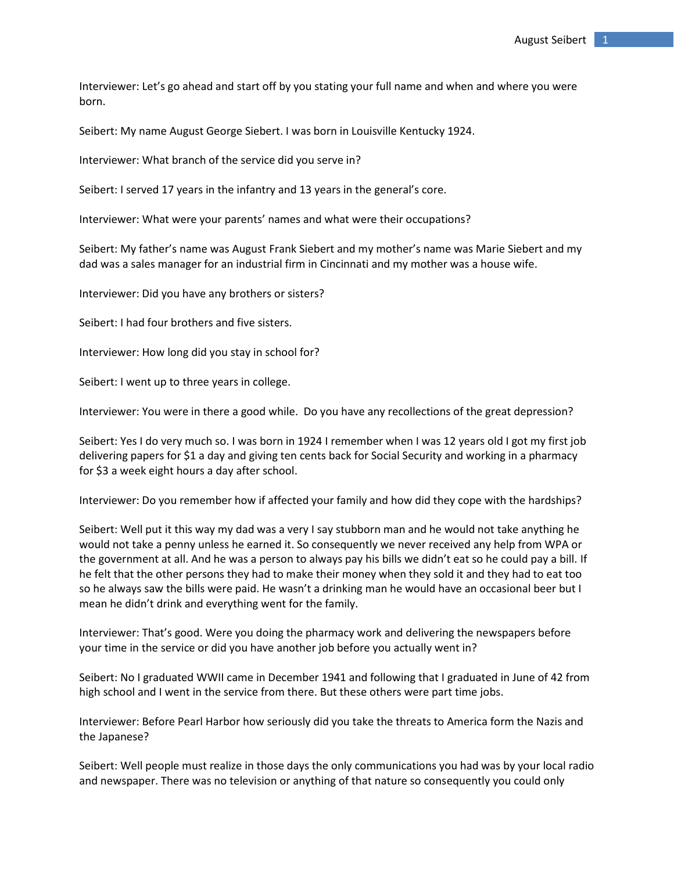Interviewer: Let's go ahead and start off by you stating your full name and when and where you were born.

Seibert: My name August George Siebert. I was born in Louisville Kentucky 1924.

Interviewer: What branch of the service did you serve in?

Seibert: I served 17 years in the infantry and 13 years in the general's core.

Interviewer: What were your parents' names and what were their occupations?

Seibert: My father's name was August Frank Siebert and my mother's name was Marie Siebert and my dad was a sales manager for an industrial firm in Cincinnati and my mother was a house wife.

Interviewer: Did you have any brothers or sisters?

Seibert: I had four brothers and five sisters.

Interviewer: How long did you stay in school for?

Seibert: I went up to three years in college.

Interviewer: You were in there a good while. Do you have any recollections of the great depression?

Seibert: Yes I do very much so. I was born in 1924 I remember when I was 12 years old I got my first job delivering papers for \$1 a day and giving ten cents back for Social Security and working in a pharmacy for \$3 a week eight hours a day after school.

Interviewer: Do you remember how if affected your family and how did they cope with the hardships?

Seibert: Well put it this way my dad was a very I say stubborn man and he would not take anything he would not take a penny unless he earned it. So consequently we never received any help from WPA or the government at all. And he was a person to always pay his bills we didn't eat so he could pay a bill. If he felt that the other persons they had to make their money when they sold it and they had to eat too so he always saw the bills were paid. He wasn't a drinking man he would have an occasional beer but I mean he didn't drink and everything went for the family.

Interviewer: That's good. Were you doing the pharmacy work and delivering the newspapers before your time in the service or did you have another job before you actually went in?

Seibert: No I graduated WWII came in December 1941 and following that I graduated in June of 42 from high school and I went in the service from there. But these others were part time jobs.

Interviewer: Before Pearl Harbor how seriously did you take the threats to America form the Nazis and the Japanese?

Seibert: Well people must realize in those days the only communications you had was by your local radio and newspaper. There was no television or anything of that nature so consequently you could only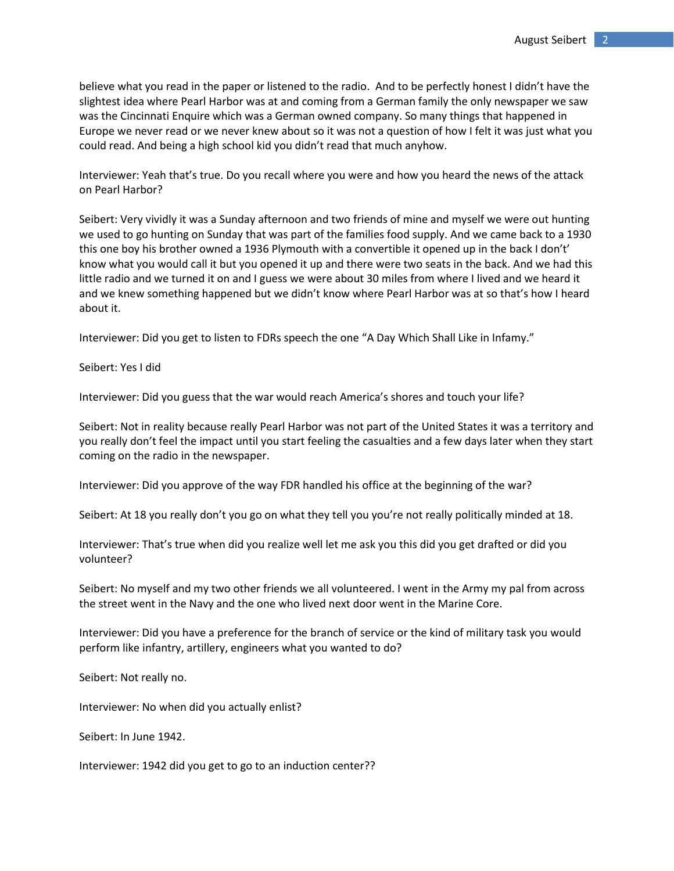believe what you read in the paper or listened to the radio. And to be perfectly honest I didn't have the slightest idea where Pearl Harbor was at and coming from a German family the only newspaper we saw was the Cincinnati Enquire which was a German owned company. So many things that happened in Europe we never read or we never knew about so it was not a question of how I felt it was just what you could read. And being a high school kid you didn't read that much anyhow.

Interviewer: Yeah that's true. Do you recall where you were and how you heard the news of the attack on Pearl Harbor?

Seibert: Very vividly it was a Sunday afternoon and two friends of mine and myself we were out hunting we used to go hunting on Sunday that was part of the families food supply. And we came back to a 1930 this one boy his brother owned a 1936 Plymouth with a convertible it opened up in the back I don't' know what you would call it but you opened it up and there were two seats in the back. And we had this little radio and we turned it on and I guess we were about 30 miles from where I lived and we heard it and we knew something happened but we didn't know where Pearl Harbor was at so that's how I heard about it.

Interviewer: Did you get to listen to FDRs speech the one "A Day Which Shall Like in Infamy."

Seibert: Yes I did

Interviewer: Did you guess that the war would reach America's shores and touch your life?

Seibert: Not in reality because really Pearl Harbor was not part of the United States it was a territory and you really don't feel the impact until you start feeling the casualties and a few days later when they start coming on the radio in the newspaper.

Interviewer: Did you approve of the way FDR handled his office at the beginning of the war?

Seibert: At 18 you really don't you go on what they tell you you're not really politically minded at 18.

Interviewer: That's true when did you realize well let me ask you this did you get drafted or did you volunteer?

Seibert: No myself and my two other friends we all volunteered. I went in the Army my pal from across the street went in the Navy and the one who lived next door went in the Marine Core.

Interviewer: Did you have a preference for the branch of service or the kind of military task you would perform like infantry, artillery, engineers what you wanted to do?

Seibert: Not really no.

Interviewer: No when did you actually enlist?

Seibert: In June 1942.

Interviewer: 1942 did you get to go to an induction center??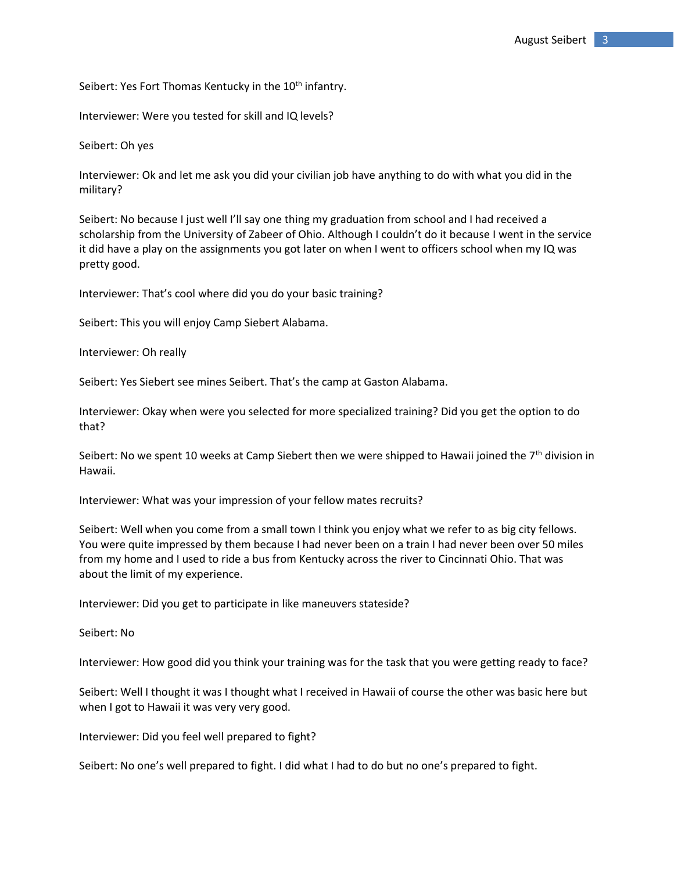Seibert: Yes Fort Thomas Kentucky in the 10<sup>th</sup> infantry.

Interviewer: Were you tested for skill and IQ levels?

Seibert: Oh yes

Interviewer: Ok and let me ask you did your civilian job have anything to do with what you did in the military?

Seibert: No because I just well I'll say one thing my graduation from school and I had received a scholarship from the University of Zabeer of Ohio. Although I couldn't do it because I went in the service it did have a play on the assignments you got later on when I went to officers school when my IQ was pretty good.

Interviewer: That's cool where did you do your basic training?

Seibert: This you will enjoy Camp Siebert Alabama.

Interviewer: Oh really

Seibert: Yes Siebert see mines Seibert. That's the camp at Gaston Alabama.

Interviewer: Okay when were you selected for more specialized training? Did you get the option to do that?

Seibert: No we spent 10 weeks at Camp Siebert then we were shipped to Hawaii joined the  $7<sup>th</sup>$  division in Hawaii.

Interviewer: What was your impression of your fellow mates recruits?

Seibert: Well when you come from a small town I think you enjoy what we refer to as big city fellows. You were quite impressed by them because I had never been on a train I had never been over 50 miles from my home and I used to ride a bus from Kentucky across the river to Cincinnati Ohio. That was about the limit of my experience.

Interviewer: Did you get to participate in like maneuvers stateside?

Seibert: No

Interviewer: How good did you think your training was for the task that you were getting ready to face?

Seibert: Well I thought it was I thought what I received in Hawaii of course the other was basic here but when I got to Hawaii it was very very good.

Interviewer: Did you feel well prepared to fight?

Seibert: No one's well prepared to fight. I did what I had to do but no one's prepared to fight.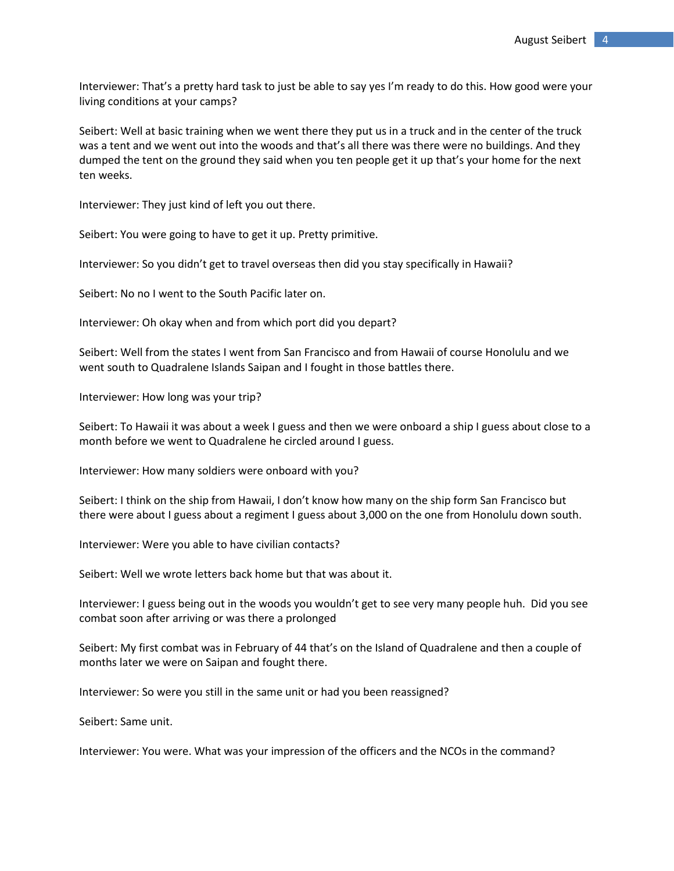Interviewer: That's a pretty hard task to just be able to say yes I'm ready to do this. How good were your living conditions at your camps?

Seibert: Well at basic training when we went there they put us in a truck and in the center of the truck was a tent and we went out into the woods and that's all there was there were no buildings. And they dumped the tent on the ground they said when you ten people get it up that's your home for the next ten weeks.

Interviewer: They just kind of left you out there.

Seibert: You were going to have to get it up. Pretty primitive.

Interviewer: So you didn't get to travel overseas then did you stay specifically in Hawaii?

Seibert: No no I went to the South Pacific later on.

Interviewer: Oh okay when and from which port did you depart?

Seibert: Well from the states I went from San Francisco and from Hawaii of course Honolulu and we went south to Quadralene Islands Saipan and I fought in those battles there.

Interviewer: How long was your trip?

Seibert: To Hawaii it was about a week I guess and then we were onboard a ship I guess about close to a month before we went to Quadralene he circled around I guess.

Interviewer: How many soldiers were onboard with you?

Seibert: I think on the ship from Hawaii, I don't know how many on the ship form San Francisco but there were about I guess about a regiment I guess about 3,000 on the one from Honolulu down south.

Interviewer: Were you able to have civilian contacts?

Seibert: Well we wrote letters back home but that was about it.

Interviewer: I guess being out in the woods you wouldn't get to see very many people huh. Did you see combat soon after arriving or was there a prolonged

Seibert: My first combat was in February of 44 that's on the Island of Quadralene and then a couple of months later we were on Saipan and fought there.

Interviewer: So were you still in the same unit or had you been reassigned?

Seibert: Same unit.

Interviewer: You were. What was your impression of the officers and the NCOs in the command?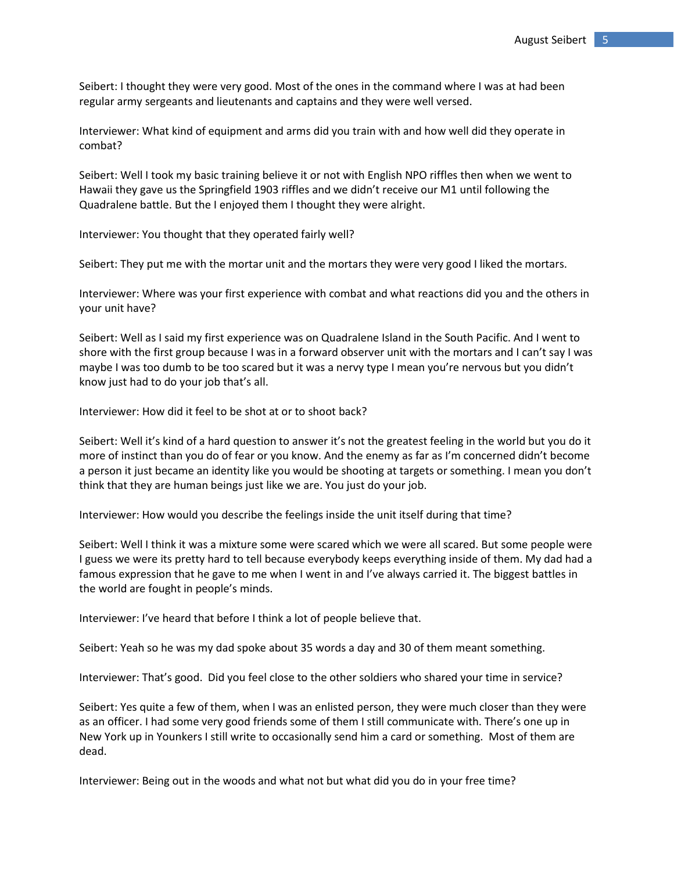Seibert: I thought they were very good. Most of the ones in the command where I was at had been regular army sergeants and lieutenants and captains and they were well versed.

Interviewer: What kind of equipment and arms did you train with and how well did they operate in combat?

Seibert: Well I took my basic training believe it or not with English NPO riffles then when we went to Hawaii they gave us the Springfield 1903 riffles and we didn't receive our M1 until following the Quadralene battle. But the I enjoyed them I thought they were alright.

Interviewer: You thought that they operated fairly well?

Seibert: They put me with the mortar unit and the mortars they were very good I liked the mortars.

Interviewer: Where was your first experience with combat and what reactions did you and the others in your unit have?

Seibert: Well as I said my first experience was on Quadralene Island in the South Pacific. And I went to shore with the first group because I was in a forward observer unit with the mortars and I can't say I was maybe I was too dumb to be too scared but it was a nervy type I mean you're nervous but you didn't know just had to do your job that's all.

Interviewer: How did it feel to be shot at or to shoot back?

Seibert: Well it's kind of a hard question to answer it's not the greatest feeling in the world but you do it more of instinct than you do of fear or you know. And the enemy as far as I'm concerned didn't become a person it just became an identity like you would be shooting at targets or something. I mean you don't think that they are human beings just like we are. You just do your job.

Interviewer: How would you describe the feelings inside the unit itself during that time?

Seibert: Well I think it was a mixture some were scared which we were all scared. But some people were I guess we were its pretty hard to tell because everybody keeps everything inside of them. My dad had a famous expression that he gave to me when I went in and I've always carried it. The biggest battles in the world are fought in people's minds.

Interviewer: I've heard that before I think a lot of people believe that.

Seibert: Yeah so he was my dad spoke about 35 words a day and 30 of them meant something.

Interviewer: That's good. Did you feel close to the other soldiers who shared your time in service?

Seibert: Yes quite a few of them, when I was an enlisted person, they were much closer than they were as an officer. I had some very good friends some of them I still communicate with. There's one up in New York up in Younkers I still write to occasionally send him a card or something. Most of them are dead.

Interviewer: Being out in the woods and what not but what did you do in your free time?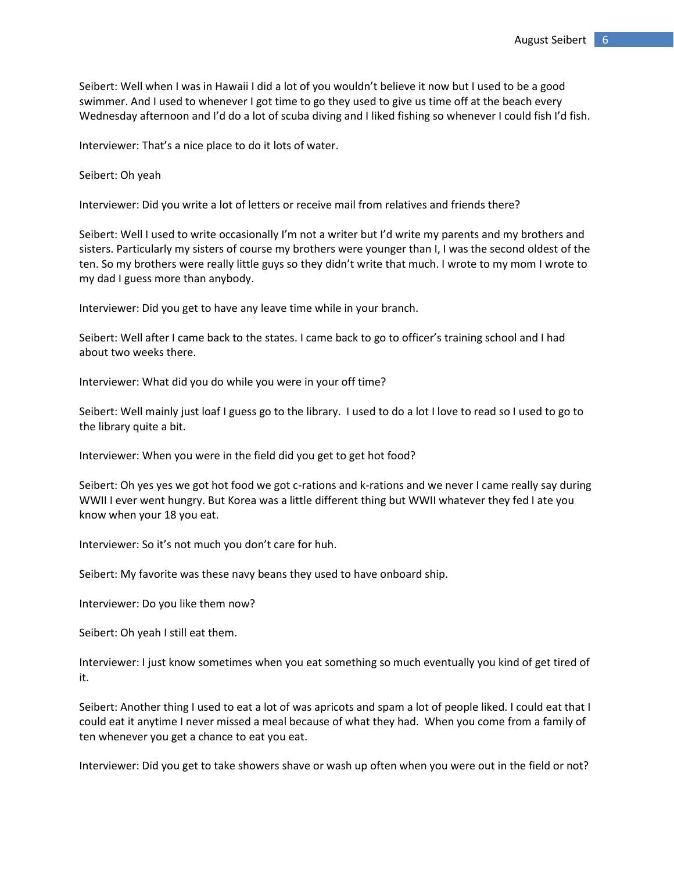Seibert: Well when I was in Hawaii I did a lot of you wouldn't believe it now but I used to be a good swimmer. And I used to whenever I got time to go they used to give us time off at the beach every Wednesday afternoon and I'd do a lot of scuba diving and I liked fishing so whenever I could fish I'd fish.

Interviewer: That's a nice place to do it lots of water.

Seibert: Oh yeah

Interviewer: Did you write a lot of letters or receive mail from relatives and friends there?

Seibert: Well I used to write occasionally I'm not a writer but I'd write my parents and my brothers and sisters. Particularly my sisters of course my brothers were younger than I, I was the second oldest of the ten. So my brothers were really little guys so they didn't write that much. I wrote to my mom I wrote to my dad I guess more than anybody.

Interviewer: Did you get to have any leave time while in your branch.

Seibert: Well after I came back to the states. I came back to go to officer's training school and I had about two weeks there.

Interviewer: What did you do while you were in your off time?

Seibert: Well mainly just loaf I guess go to the library. I used to do a lot I love to read so I used to go to the library quite a bit.

Interviewer: When you were in the field did you get to get hot food?

Seibert: Oh yes yes we got hot food we got c-rations and k-rations and we never I came really say during WWII I ever went hungry. But Korea was a little different thing but WWII whatever they fed I ate you know when your 18 you eat.

Interviewer: So it's not much you don't care for huh.

Seibert: My favorite was these navy beans they used to have onboard ship.

Interviewer: Do you like them now?

Seibert: Oh yeah I still eat them.

Interviewer: I just know sometimes when you eat something so much eventually you kind of get tired of it.

Seibert: Another thing I used to eat a lot of was apricots and spam a lot of people liked. I could eat that I could eat it anytime I never missed a meal because of what they had. When you come from a family of ten whenever you get a chance to eat you eat.

Interviewer: Did you get to take showers shave or wash up often when you were out in the field or not?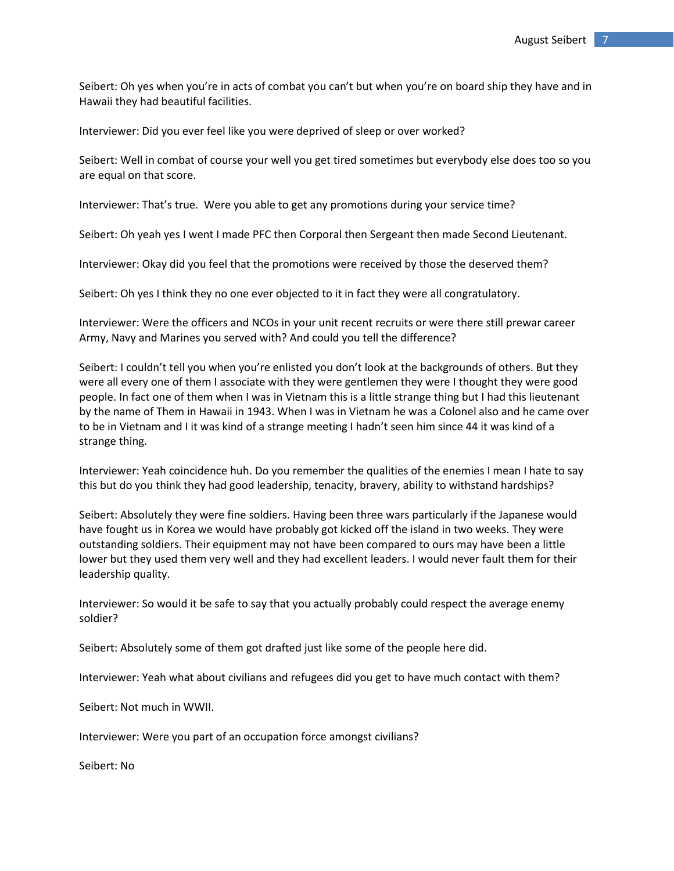Seibert: Oh yes when you're in acts of combat you can't but when you're on board ship they have and in Hawaii they had beautiful facilities.

Interviewer: Did you ever feel like you were deprived of sleep or over worked?

Seibert: Well in combat of course your well you get tired sometimes but everybody else does too so you are equal on that score.

Interviewer: That's true. Were you able to get any promotions during your service time?

Seibert: Oh yeah yes I went I made PFC then Corporal then Sergeant then made Second Lieutenant.

Interviewer: Okay did you feel that the promotions were received by those the deserved them?

Seibert: Oh yes I think they no one ever objected to it in fact they were all congratulatory.

Interviewer: Were the officers and NCOs in your unit recent recruits or were there still prewar career Army, Navy and Marines you served with? And could you tell the difference?

Seibert: I couldn't tell you when you're enlisted you don't look at the backgrounds of others. But they were all every one of them I associate with they were gentlemen they were I thought they were good people. In fact one of them when I was in Vietnam this is a little strange thing but I had this lieutenant by the name of Them in Hawaii in 1943. When I was in Vietnam he was a Colonel also and he came over to be in Vietnam and I it was kind of a strange meeting I hadn't seen him since 44 it was kind of a strange thing.

Interviewer: Yeah coincidence huh. Do you remember the qualities of the enemies I mean I hate to say this but do you think they had good leadership, tenacity, bravery, ability to withstand hardships?

Seibert: Absolutely they were fine soldiers. Having been three wars particularly if the Japanese would have fought us in Korea we would have probably got kicked off the island in two weeks. They were outstanding soldiers. Their equipment may not have been compared to ours may have been a little lower but they used them very well and they had excellent leaders. I would never fault them for their leadership quality.

Interviewer: So would it be safe to say that you actually probably could respect the average enemy soldier?

Seibert: Absolutely some of them got drafted just like some of the people here did.

Interviewer: Yeah what about civilians and refugees did you get to have much contact with them?

Seibert: Not much in WWII.

Interviewer: Were you part of an occupation force amongst civilians?

Seibert: No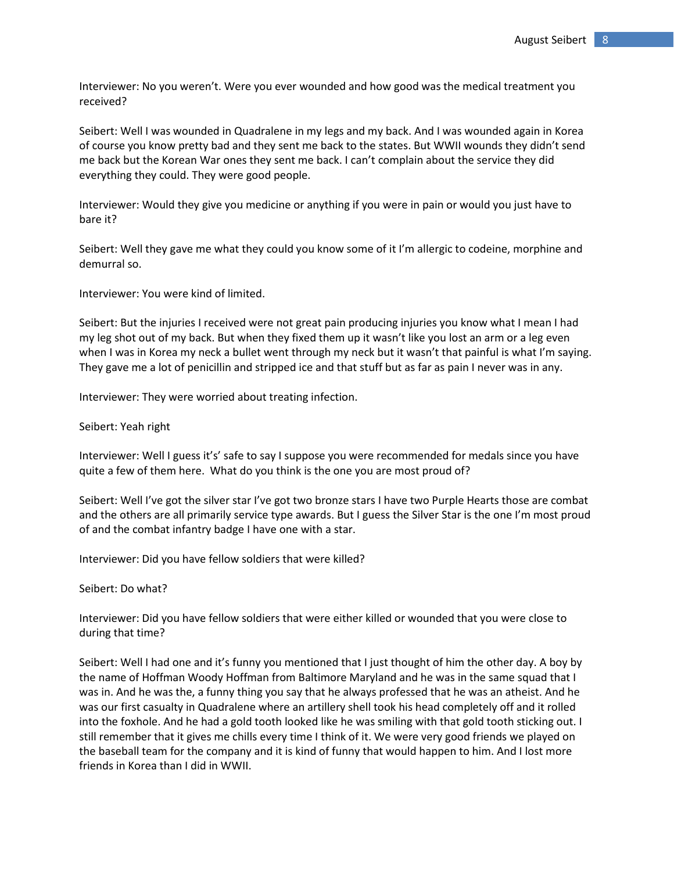Interviewer: No you weren't. Were you ever wounded and how good was the medical treatment you received?

Seibert: Well I was wounded in Quadralene in my legs and my back. And I was wounded again in Korea of course you know pretty bad and they sent me back to the states. But WWII wounds they didn't send me back but the Korean War ones they sent me back. I can't complain about the service they did everything they could. They were good people.

Interviewer: Would they give you medicine or anything if you were in pain or would you just have to bare it?

Seibert: Well they gave me what they could you know some of it I'm allergic to codeine, morphine and demurral so.

Interviewer: You were kind of limited.

Seibert: But the injuries I received were not great pain producing injuries you know what I mean I had my leg shot out of my back. But when they fixed them up it wasn't like you lost an arm or a leg even when I was in Korea my neck a bullet went through my neck but it wasn't that painful is what I'm saying. They gave me a lot of penicillin and stripped ice and that stuff but as far as pain I never was in any.

Interviewer: They were worried about treating infection.

Seibert: Yeah right

Interviewer: Well I guess it's' safe to say I suppose you were recommended for medals since you have quite a few of them here. What do you think is the one you are most proud of?

Seibert: Well I've got the silver star I've got two bronze stars I have two Purple Hearts those are combat and the others are all primarily service type awards. But I guess the Silver Star is the one I'm most proud of and the combat infantry badge I have one with a star.

Interviewer: Did you have fellow soldiers that were killed?

Seibert: Do what?

Interviewer: Did you have fellow soldiers that were either killed or wounded that you were close to during that time?

Seibert: Well I had one and it's funny you mentioned that I just thought of him the other day. A boy by the name of Hoffman Woody Hoffman from Baltimore Maryland and he was in the same squad that I was in. And he was the, a funny thing you say that he always professed that he was an atheist. And he was our first casualty in Quadralene where an artillery shell took his head completely off and it rolled into the foxhole. And he had a gold tooth looked like he was smiling with that gold tooth sticking out. I still remember that it gives me chills every time I think of it. We were very good friends we played on the baseball team for the company and it is kind of funny that would happen to him. And I lost more friends in Korea than I did in WWII.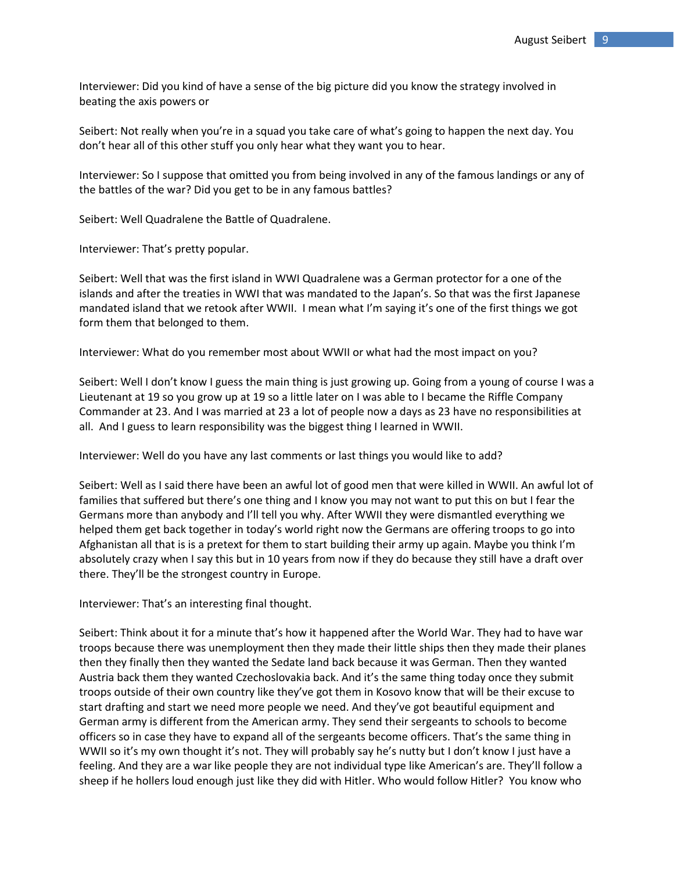Interviewer: Did you kind of have a sense of the big picture did you know the strategy involved in beating the axis powers or

Seibert: Not really when you're in a squad you take care of what's going to happen the next day. You don't hear all of this other stuff you only hear what they want you to hear.

Interviewer: So I suppose that omitted you from being involved in any of the famous landings or any of the battles of the war? Did you get to be in any famous battles?

Seibert: Well Quadralene the Battle of Quadralene.

Interviewer: That's pretty popular.

Seibert: Well that was the first island in WWI Quadralene was a German protector for a one of the islands and after the treaties in WWI that was mandated to the Japan's. So that was the first Japanese mandated island that we retook after WWII. I mean what I'm saying it's one of the first things we got form them that belonged to them.

Interviewer: What do you remember most about WWII or what had the most impact on you?

Seibert: Well I don't know I guess the main thing is just growing up. Going from a young of course I was a Lieutenant at 19 so you grow up at 19 so a little later on I was able to I became the Riffle Company Commander at 23. And I was married at 23 a lot of people now a days as 23 have no responsibilities at all. And I guess to learn responsibility was the biggest thing I learned in WWII.

Interviewer: Well do you have any last comments or last things you would like to add?

Seibert: Well as I said there have been an awful lot of good men that were killed in WWII. An awful lot of families that suffered but there's one thing and I know you may not want to put this on but I fear the Germans more than anybody and I'll tell you why. After WWII they were dismantled everything we helped them get back together in today's world right now the Germans are offering troops to go into Afghanistan all that is is a pretext for them to start building their army up again. Maybe you think I'm absolutely crazy when I say this but in 10 years from now if they do because they still have a draft over there. They'll be the strongest country in Europe.

Interviewer: That's an interesting final thought.

Seibert: Think about it for a minute that's how it happened after the World War. They had to have war troops because there was unemployment then they made their little ships then they made their planes then they finally then they wanted the Sedate land back because it was German. Then they wanted Austria back them they wanted Czechoslovakia back. And it's the same thing today once they submit troops outside of their own country like they've got them in Kosovo know that will be their excuse to start drafting and start we need more people we need. And they've got beautiful equipment and German army is different from the American army. They send their sergeants to schools to become officers so in case they have to expand all of the sergeants become officers. That's the same thing in WWII so it's my own thought it's not. They will probably say he's nutty but I don't know I just have a feeling. And they are a war like people they are not individual type like American's are. They'll follow a sheep if he hollers loud enough just like they did with Hitler. Who would follow Hitler? You know who